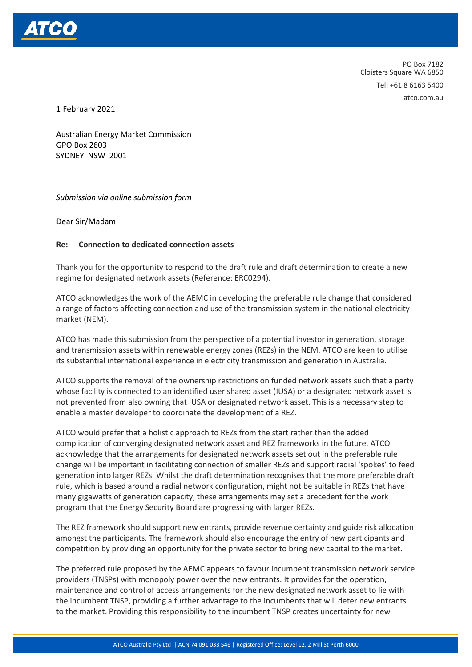

PO Box 7182 Cloisters Square WA 6850 Tel: +61 8 6163 5400 atco.com.au

1 February 2021

Australian Energy Market Commission GPO Box 2603 SYDNEY NSW 2001

## *Submission via online submission form*

Dear Sir/Madam

## **Re: Connection to dedicated connection assets**

Thank you for the opportunity to respond to the draft rule and draft determination to create a new regime for designated network assets (Reference: ERC0294).

ATCO acknowledges the work of the AEMC in developing the preferable rule change that considered a range of factors affecting connection and use of the transmission system in the national electricity market (NEM).

ATCO has made this submission from the perspective of a potential investor in generation, storage and transmission assets within renewable energy zones (REZs) in the NEM. ATCO are keen to utilise its substantial international experience in electricity transmission and generation in Australia.

ATCO supports the removal of the ownership restrictions on funded network assets such that a party whose facility is connected to an identified user shared asset (IUSA) or a designated network asset is not prevented from also owning that IUSA or designated network asset. This is a necessary step to enable a master developer to coordinate the development of a REZ.

ATCO would prefer that a holistic approach to REZs from the start rather than the added complication of converging designated network asset and REZ frameworks in the future. ATCO acknowledge that the arrangements for designated network assets set out in the preferable rule change will be important in facilitating connection of smaller REZs and support radial 'spokes' to feed generation into larger REZs. Whilst the draft determination recognises that the more preferable draft rule, which is based around a radial network configuration, might not be suitable in REZs that have many gigawatts of generation capacity, these arrangements may set a precedent for the work program that the Energy Security Board are progressing with larger REZs.

The REZ framework should support new entrants, provide revenue certainty and guide risk allocation amongst the participants. The framework should also encourage the entry of new participants and competition by providing an opportunity for the private sector to bring new capital to the market.

The preferred rule proposed by the AEMC appears to favour incumbent transmission network service providers (TNSPs) with monopoly power over the new entrants. It provides for the operation, maintenance and control of access arrangements for the new designated network asset to lie with the incumbent TNSP, providing a further advantage to the incumbents that will deter new entrants to the market. Providing this responsibility to the incumbent TNSP creates uncertainty for new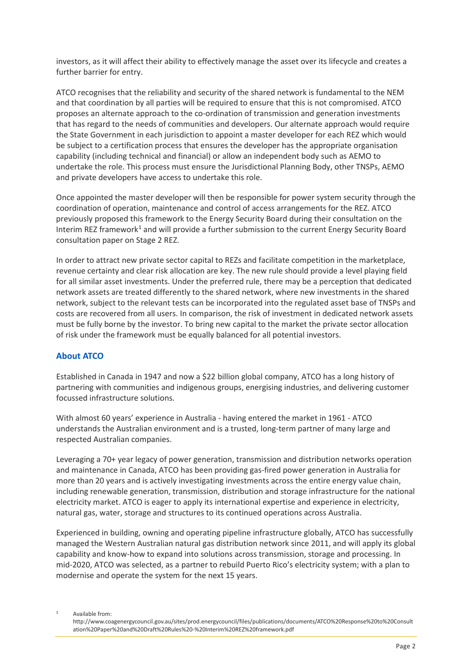investors, as it will affect their ability to effectively manage the asset over its lifecycle and creates a further barrier for entry.

ATCO recognises that the reliability and security of the shared network is fundamental to the NEM and that coordination by all parties will be required to ensure that this is not compromised. ATCO proposes an alternate approach to the co-ordination of transmission and generation investments that has regard to the needs of communities and developers. Our alternate approach would require the State Government in each jurisdiction to appoint a master developer for each REZ which would be subject to a certification process that ensures the developer has the appropriate organisation capability (including technical and financial) or allow an independent body such as AEMO to undertake the role. This process must ensure the Jurisdictional Planning Body, other TNSPs, AEMO and private developers have access to undertake this role.

Once appointed the master developer will then be responsible for power system security through the coordination of operation, maintenance and control of access arrangements for the REZ. ATCO previously proposed this framework to the Energy Security Board during their consultation on the Interim REZ framework<sup>[1](#page-1-0)</sup> and will provide a further submission to the current Energy Security Board consultation paper on Stage 2 REZ.

In order to attract new private sector capital to REZs and facilitate competition in the marketplace, revenue certainty and clear risk allocation are key. The new rule should provide a level playing field for all similar asset investments. Under the preferred rule, there may be a perception that dedicated network assets are treated differently to the shared network, where new investments in the shared network, subject to the relevant tests can be incorporated into the regulated asset base of TNSPs and costs are recovered from all users. In comparison, the risk of investment in dedicated network assets must be fully borne by the investor. To bring new capital to the market the private sector allocation of risk under the framework must be equally balanced for all potential investors.

## **About ATCO**

Established in Canada in 1947 and now a \$22 billion global company, ATCO has a long history of partnering with communities and indigenous groups, energising industries, and delivering customer focussed infrastructure solutions.

With almost 60 years' experience in Australia - having entered the market in 1961 - ATCO understands the Australian environment and is a trusted, long-term partner of many large and respected Australian companies.

Leveraging a 70+ year legacy of power generation, transmission and distribution networks operation and maintenance in Canada, ATCO has been providing gas-fired power generation in Australia for more than 20 years and is actively investigating investments across the entire energy value chain, including renewable generation, transmission, distribution and storage infrastructure for the national electricity market. ATCO is eager to apply its international expertise and experience in electricity, natural gas, water, storage and structures to its continued operations across Australia.

Experienced in building, owning and operating pipeline infrastructure globally, ATCO has successfully managed the Western Australian natural gas distribution network since 2011, and will apply its global capability and know-how to expand into solutions across transmission, storage and processing. In mid-2020, ATCO was selected, as a partner to rebuild Puerto Rico's electricity system; with a plan to modernise and operate the system for the next 15 years.

<span id="page-1-0"></span>Available from:

http://www.coagenergycouncil.gov.au/sites/prod.energycouncil/files/publications/documents/ATCO%20Response%20to%20Consult ation%20Paper%20and%20Draft%20Rules%20-%20Interim%20REZ%20framework.pdf